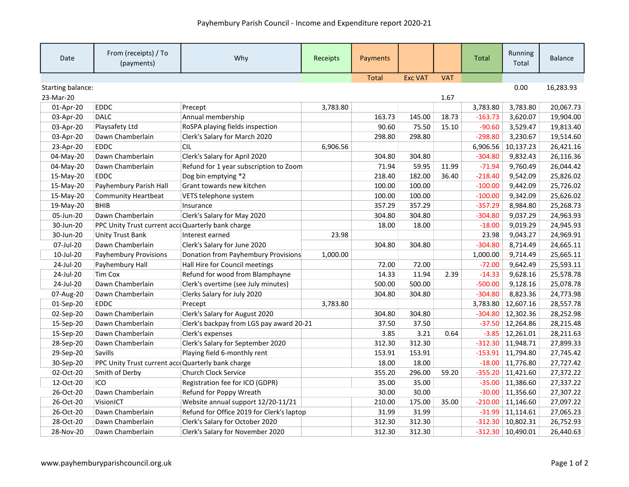| Date              | From (receipts) / To<br>(payments)                | Why                                       | <b>Receipts</b> | Payments     |                |            | <b>Total</b> | Running<br>Total    | <b>Balance</b> |
|-------------------|---------------------------------------------------|-------------------------------------------|-----------------|--------------|----------------|------------|--------------|---------------------|----------------|
|                   |                                                   |                                           |                 | <b>Total</b> | <b>Exc VAT</b> | <b>VAT</b> |              |                     |                |
| Starting balance: |                                                   |                                           |                 |              |                |            |              | 0.00                | 16,283.93      |
| 23-Mar-20         |                                                   |                                           |                 |              |                | 1.67       |              |                     |                |
| 01-Apr-20         | <b>EDDC</b>                                       | Precept                                   | 3,783.80        |              |                |            | 3,783.80     | 3,783.80            | 20,067.73      |
| 03-Apr-20         | <b>DALC</b>                                       | Annual membership                         |                 | 163.73       | 145.00         | 18.73      | $-163.73$    | 3,620.07            | 19,904.00      |
| 03-Apr-20         | Playsafety Ltd                                    | RoSPA playing fields inspection           |                 | 90.60        | 75.50          | 15.10      | $-90.60$     | 3,529.47            | 19,813.40      |
| 03-Apr-20         | Dawn Chamberlain                                  | Clerk's Salary for March 2020             |                 | 298.80       | 298.80         |            | $-298.80$    | 3,230.67            | 19,514.60      |
| 23-Apr-20         | <b>EDDC</b>                                       | <b>CIL</b>                                | 6,906.56        |              |                |            | 6,906.56     | 10,137.23           | 26,421.16      |
| 04-May-20         | Dawn Chamberlain                                  | Clerk's Salary for April 2020             |                 | 304.80       | 304.80         |            | $-304.80$    | 9,832.43            | 26,116.36      |
| 04-May-20         | Dawn Chamberlain                                  | Refund for 1 year subscription to Zoom    |                 | 71.94        | 59.95          | 11.99      | $-71.94$     | 9,760.49            | 26,044.42      |
| 15-May-20         | <b>EDDC</b>                                       | Dog bin emptying *2                       |                 | 218.40       | 182.00         | 36.40      | $-218.40$    | 9,542.09            | 25,826.02      |
| 15-May-20         | Payhembury Parish Hall                            | Grant towards new kitchen                 |                 | 100.00       | 100.00         |            | $-100.00$    | 9,442.09            | 25,726.02      |
| 15-May-20         | <b>Community Heartbeat</b>                        | VETS telephone system                     |                 | 100.00       | 100.00         |            | $-100.00$    | 9,342.09            | 25,626.02      |
| 19-May-20         | <b>BHIB</b>                                       | Insurance                                 |                 | 357.29       | 357.29         |            | $-357.29$    | 8,984.80            | 25,268.73      |
| 05-Jun-20         | Dawn Chamberlain                                  | Clerk's Salary for May 2020               |                 | 304.80       | 304.80         |            | $-304.80$    | 9,037.29            | 24,963.93      |
| 30-Jun-20         | PPC Unity Trust current accoQuarterly bank charge |                                           |                 | 18.00        | 18.00          |            | $-18.00$     | 9,019.29            | 24,945.93      |
| 30-Jun-20         | <b>Unity Trust Bank</b>                           | Interest earned                           | 23.98           |              |                |            | 23.98        | 9,043.27            | 24,969.91      |
| 07-Jul-20         | Dawn Chamberlain                                  | Clerk's Salary for June 2020              |                 | 304.80       | 304.80         |            | $-304.80$    | 8,714.49            | 24,665.11      |
| 10-Jul-20         | <b>Payhembury Provisions</b>                      | Donation from Payhembury Provisions       | 1,000.00        |              |                |            | 1,000.00     | 9,714.49            | 25,665.11      |
| 24-Jul-20         | Payhembury Hall                                   | Hall Hire for Council meetings            |                 | 72.00        | 72.00          |            | $-72.00$     | 9,642.49            | 25,593.11      |
| 24-Jul-20         | <b>Tim Cox</b>                                    | Refund for wood from Blamphayne           |                 | 14.33        | 11.94          | 2.39       | $-14.33$     | 9,628.16            | 25,578.78      |
| 24-Jul-20         | Dawn Chamberlain                                  | Clerk's overtime (see July minutes)       |                 | 500.00       | 500.00         |            | $-500.00$    | 9,128.16            | 25,078.78      |
| 07-Aug-20         | Dawn Chamberlain                                  | Clerks Salary for July 2020               |                 | 304.80       | 304.80         |            | $-304.80$    | 8,823.36            | 24,773.98      |
| 01-Sep-20         | <b>EDDC</b>                                       | Precept                                   | 3,783.80        |              |                |            |              | 3,783.80 12,607.16  | 28,557.78      |
| 02-Sep-20         | Dawn Chamberlain                                  | Clerk's Salary for August 2020            |                 | 304.80       | 304.80         |            |              | $-304.80$ 12,302.36 | 28,252.98      |
| 15-Sep-20         | Dawn Chamberlain                                  | Clerk's backpay from LGS pay award 20-21  |                 | 37.50        | 37.50          |            |              | $-37.50$ 12,264.86  | 28,215.48      |
| 15-Sep-20         | Dawn Chamberlain                                  | Clerk's expenses                          |                 | 3.85         | 3.21           | 0.64       |              | $-3.85$ 12,261.01   | 28,211.63      |
| 28-Sep-20         | Dawn Chamberlain                                  | Clerk's Salary for September 2020         |                 | 312.30       | 312.30         |            |              | $-312.30$ 11,948.71 | 27,899.33      |
| 29-Sep-20         | <b>Savills</b>                                    | Playing field 6-monthly rent              |                 | 153.91       | 153.91         |            |              | $-153.91$ 11,794.80 | 27,745.42      |
| 30-Sep-20         | PPC Unity Trust current accoQuarterly bank charge |                                           |                 | 18.00        | 18.00          |            |              | $-18.00$ 11,776.80  | 27,727.42      |
| 02-Oct-20         | Smith of Derby                                    | <b>Church Clock Service</b>               |                 | 355.20       | 296.00         | 59.20      |              | $-355.20$ 11,421.60 | 27,372.22      |
| 12-Oct-20         | ICO                                               | Registration fee for ICO (GDPR)           |                 | 35.00        | 35.00          |            |              | $-35.00$ 11,386.60  | 27,337.22      |
| 26-Oct-20         | Dawn Chamberlain                                  | Refund for Poppy Wreath                   |                 | 30.00        | 30.00          |            |              | $-30.00$ 11,356.60  | 27,307.22      |
| 26-Oct-20         | VisionICT                                         | Website annual support 12/20-11/21        |                 | 210.00       | 175.00         | 35.00      | $-210.00$    | 11,146.60           | 27,097.22      |
| 26-Oct-20         | Dawn Chamberlain                                  | Refund for Office 2019 for Clerk's laptop |                 | 31.99        | 31.99          |            |              | $-31.99$ 11,114.61  | 27,065.23      |
| 28-Oct-20         | Dawn Chamberlain                                  | Clerk's Salary for October 2020           |                 | 312.30       | 312.30         |            |              | $-312.30$ 10,802.31 | 26,752.93      |
| 28-Nov-20         | Dawn Chamberlain                                  | Clerk's Salary for November 2020          |                 | 312.30       | 312.30         |            |              | $-312.30$ 10,490.01 | 26,440.63      |